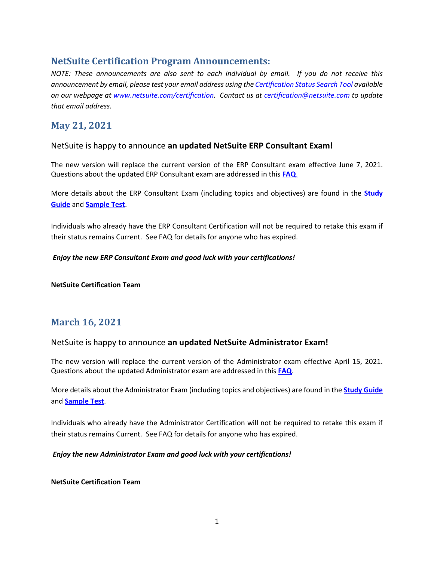# **NetSuite Certification Program Announcements:**

*NOTE: These announcements are also sent to each individual by email. If you do not receive this announcement by email, please test your email address using th[e Certification Status Search Tool](https://forms.netsuite.com/app/site/hosting/scriptlet.nl?script=1142&deploy=1&compid=NLCORP&h=6abf91dbd1d6a750b29a&ck=rBQ0aesCAh1XeN1N&vid=rBQ0aesCAiZXeDdI&cktime=131801) available on our webpage at [www.netsuite.com/certification.](http://www.netsuite.com/certification) Contact us at [certification@netsuite.com](mailto:certification@netsuite.com) to update that email address.*

# **May 21, 2021**

#### NetSuite is happy to announce **an updated NetSuite ERP Consultant Exam!**

The new version will replace the current version of the ERP Consultant exam effective June 7, 2021. Questions about the updated ERP Consultant exam are addressed in this **[FAQ](https://6262239.app.netsuite.com/core/media/media.nl?id=655745&c=6262239&h=r5QoaCA3AJ5VZzlm2Dq6c-v3ep8re_o7EUrB4izhSYDrbf-F&_xt=.pdf)**.

More details about the ERP Consultant Exam (including topics and objectives) are found in the **[Study](https://www.netsuite.com/core/media/media.nl?id=472471&c=6262239&h=d1ee85c52b67defbf3cb&_xt=.pdf)  [Guide](https://www.netsuite.com/core/media/media.nl?id=472471&c=6262239&h=d1ee85c52b67defbf3cb&_xt=.pdf)** and **[Sample Test](https://www.netsuite.com/core/media/media.nl?id=311178&c=6262239&h=cca557336dfb642e8861&_xt=.pdf)**.

Individuals who already have the ERP Consultant Certification will not be required to retake this exam if their status remains Current. See FAQ for details for anyone who has expired.

#### *Enjoy the new ERP Consultant Exam and good luck with your certifications!*

**NetSuite Certification Team**

# **March 16, 2021**

#### NetSuite is happy to announce **an updated NetSuite Administrator Exam!**

The new version will replace the current version of the Administrator exam effective April 15, 2021. Questions about the updated Administrator exam are addressed in this **[FAQ](https://6262239.app.netsuite.com/core/media/media.nl?id=640190&c=6262239&h=u8_SZc8-_yaF0th5cx-ioRczhmkryzMjxtkApTVB9CnYNq6l&_xt=.pdf)**.

More details about the Administrator Exam (including topics and objectives) are found in the **[Study Guide](https://6262239.app.netsuite.com/core/media/media.nl?id=472472&c=6262239&h=fd6f2f0827d859535fe5&_xt=.pdf)** and **[Sample Test](https://6262239.app.netsuite.com/core/media/media.nl?id=628471&c=6262239&h=5a1bd74331d0aee78f98&_xt=.pdf)**.

Individuals who already have the Administrator Certification will not be required to retake this exam if their status remains Current. See FAQ for details for anyone who has expired.

#### *Enjoy the new Administrator Exam and good luck with your certifications!*

#### **NetSuite Certification Team**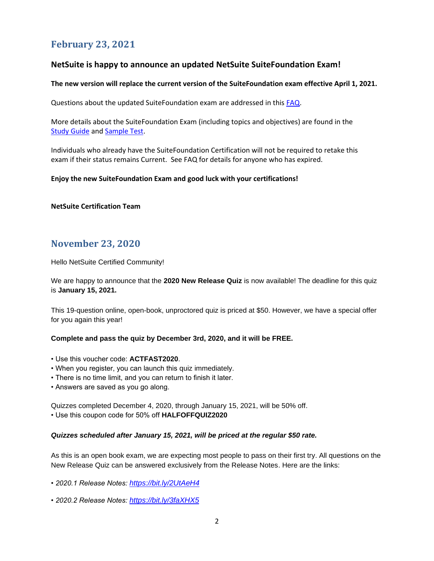# **February 23, 2021**

#### **NetSuite is happy to announce an updated NetSuite SuiteFoundation Exam!**

#### **The new version will replace the current version of the SuiteFoundation exam effective April 1, 2021.**

Questions about the updated SuiteFoundation exam are addressed in this [FAQ.](https://6262239.app.netsuite.com/core/media/media.nl?id=638189&c=6262239&h=K5VR7hZFa-l0WD6p_yoaT2EOXW_rhctd7RdC6duRl8O0BIbg&_xt=.pdf)

More details about the SuiteFoundation Exam (including topics and objectives) are found in the **[Study Guide](https://6262239.app.netsuite.com/core/media/media.nl?id=472469&c=6262239&h=13ffd77e7877cf72ba50&_xt=.pdf) and [Sample](https://6262239.app.netsuite.com/core/media/media.nl?id=311174&c=6262239&h=283b2ceae145bb9a9260&_xt=.pdf) [Test.](https://6262239.app.netsuite.com/core/media/media.nl?id=311174&c=6262239&h=283b2ceae145bb9a9260&_xt=.pdf)** 

Individuals who already have the SuiteFoundation Certification will not be required to retake this exam if their status remains Current. See FAQ for details for anyone who has expired.

#### **Enjoy the new SuiteFoundation Exam and good luck with your certifications!**

#### **NetSuite Certification Team**

# **November 23, 2020**

Hello NetSuite Certified Community!

We are happy to announce that the **2020 New Release Quiz** is now available! The deadline for this quiz is **January 15, 2021.**

This 19-question online, open-book, unproctored quiz is priced at \$50. However, we have a special offer for you again this year!

#### **Complete and pass the quiz by December 3rd, 2020, and it will be FREE.**

- Use this voucher code: **ACTFAST2020**.
- When you register, you can launch this quiz immediately.
- There is no time limit, and you can return to finish it later.
- Answers are saved as you go along.

Quizzes completed December 4, 2020, through January 15, 2021, will be 50% off.

• Use this coupon code for 50% off **HALFOFFQUIZ2020**

#### *Quizzes scheduled after January 15, 2021, will be priced at the regular \$50 rate.*

As this is an open book exam, we are expecting most people to pass on their first try. All questions on the New Release Quiz can be answered exclusively from the Release Notes. Here are the links:

*• 2020.1 Release Notes: <https://bit.ly/2UtAeH4>*

*• 2020.2 Release Notes: <https://bit.ly/3faXHX5>*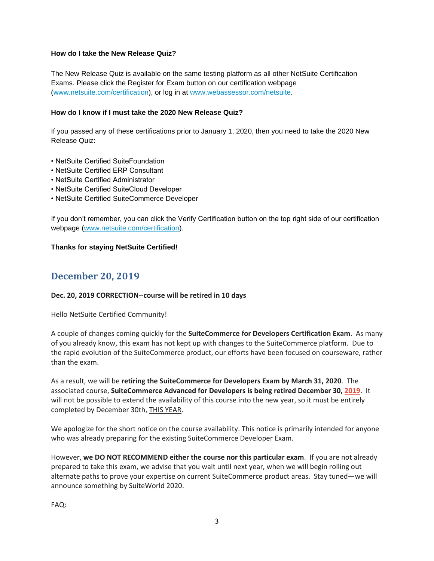#### **How do I take the New Release Quiz?**

The New Release Quiz is available on the same testing platform as all other NetSuite Certification Exams. Please click the Register for Exam button on our certification webpage [\(www.netsuite.com/certification\)](https://www.linkedin.com/redir/redirect?url=www%2Enetsuite%2Ecom%2Fcertification&urlhash=aBLi&_t=tracking_anet), or log in at [www.webassessor.com/netsuite.](https://www.linkedin.com/redir/redirect?url=www%2Ewebassessor%2Ecom%2Fnetsuite&urlhash=sTDo&_t=tracking_anet)

#### **How do I know if I must take the 2020 New Release Quiz?**

If you passed any of these certifications prior to January 1, 2020, then you need to take the 2020 New Release Quiz:

- NetSuite Certified SuiteFoundation
- NetSuite Certified ERP Consultant
- NetSuite Certified Administrator
- NetSuite Certified SuiteCloud Developer
- NetSuite Certified SuiteCommerce Developer

If you don't remember, you can click the Verify Certification button on the top right side of our certification webpage [\(www.netsuite.com/certification\)](https://www.linkedin.com/redir/redirect?url=www%2Enetsuite%2Ecom%2Fcertification&urlhash=aBLi&_t=tracking_anet).

#### **Thanks for staying NetSuite Certified!**

# **December 20, 2019**

#### **Dec. 20, 2019 CORRECTION--course will be retired in 10 days**

Hello NetSuite Certified Community!

A couple of changes coming quickly for the **SuiteCommerce for Developers Certification Exam**. As many of you already know, this exam has not kept up with changes to the SuiteCommerce platform. Due to the rapid evolution of the SuiteCommerce product, our efforts have been focused on courseware, rather than the exam.

As a result, we will be **retiring the SuiteCommerce for Developers Exam by March 31, 2020**. The associated course, **SuiteCommerce Advanced for Developers is being retired December 30, 2019**. It will not be possible to extend the availability of this course into the new year, so it must be entirely completed by December 30th, THIS YEAR.

We apologize for the short notice on the course availability. This notice is primarily intended for anyone who was already preparing for the existing SuiteCommerce Developer Exam.

However, **we DO NOT RECOMMEND either the course nor this particular exam**. If you are not already prepared to take this exam, we advise that you wait until next year, when we will begin rolling out alternate paths to prove your expertise on current SuiteCommerce product areas. Stay tuned—we will announce something by SuiteWorld 2020.

FAQ: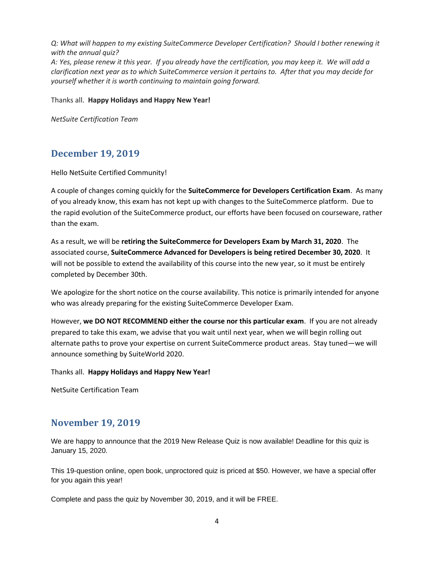*Q: What will happen to my existing SuiteCommerce Developer Certification? Should I bother renewing it with the annual quiz?* A: Yes, please renew it this year. If you already have the certification, you may keep it. We will add a *clarification next year as to which SuiteCommerce version it pertains to. After that you may decide for yourself whether it is worth continuing to maintain going forward.*

Thanks all. **Happy Holidays and Happy New Year!**

*NetSuite Certification Team*

# **December 19, 2019**

Hello NetSuite Certified Community!

A couple of changes coming quickly for the **SuiteCommerce for Developers Certification Exam**. As many of you already know, this exam has not kept up with changes to the SuiteCommerce platform. Due to the rapid evolution of the SuiteCommerce product, our efforts have been focused on courseware, rather than the exam.

As a result, we will be **retiring the SuiteCommerce for Developers Exam by March 31, 2020**. The associated course, **SuiteCommerce Advanced for Developers is being retired December 30, 2020**. It will not be possible to extend the availability of this course into the new year, so it must be entirely completed by December 30th.

We apologize for the short notice on the course availability. This notice is primarily intended for anyone who was already preparing for the existing SuiteCommerce Developer Exam.

However, **we DO NOT RECOMMEND either the course nor this particular exam**. If you are not already prepared to take this exam, we advise that you wait until next year, when we will begin rolling out alternate paths to prove your expertise on current SuiteCommerce product areas. Stay tuned—we will announce something by SuiteWorld 2020.

Thanks all. **Happy Holidays and Happy New Year!**

NetSuite Certification Team

# **November 19, 2019**

We are happy to announce that the 2019 New Release Quiz is now available! Deadline for this quiz is January 15, 2020.

This 19-question online, open book, unproctored quiz is priced at \$50. However, we have a special offer for you again this year!

Complete and pass the quiz by November 30, 2019, and it will be FREE.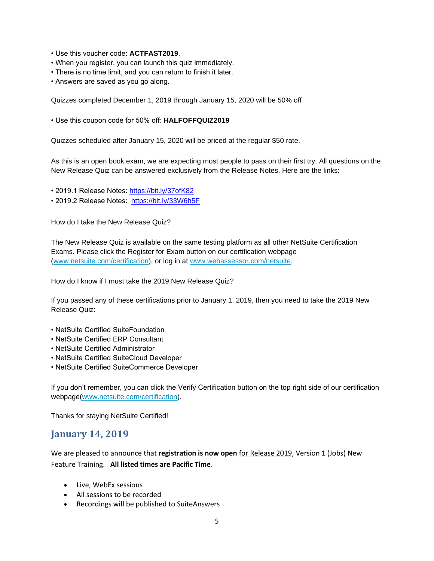- Use this voucher code: **ACTFAST2019**.
- When you register, you can launch this quiz immediately.
- There is no time limit, and you can return to finish it later.
- Answers are saved as you go along.

Quizzes completed December 1, 2019 through January 15, 2020 will be 50% off

• Use this coupon code for 50% off: **HALFOFFQUIZ2019**

Quizzes scheduled after January 15, 2020 will be priced at the regular \$50 rate.

As this is an open book exam, we are expecting most people to pass on their first try. All questions on the New Release Quiz can be answered exclusively from the Release Notes. Here are the links:

- 2019.1 Release Notes:<https://bit.ly/37ofK82>
- 2019.2 Release Notes: <https://bit.ly/33W6h5F>

How do I take the New Release Quiz?

The New Release Quiz is available on the same testing platform as all other NetSuite Certification Exams. Please click the Register for Exam button on our certification webpage [\(www.netsuite.com/certification\)](https://www.linkedin.com/redir/redirect?url=www%2Enetsuite%2Ecom%2Fcertification&urlhash=aBLi&_t=tracking_anet), or log in at [www.webassessor.com/netsuite.](https://www.linkedin.com/redir/redirect?url=www%2Ewebassessor%2Ecom%2Fnetsuite&urlhash=sTDo&_t=tracking_anet)

How do I know if I must take the 2019 New Release Quiz?

If you passed any of these certifications prior to January 1, 2019, then you need to take the 2019 New Release Quiz:

- NetSuite Certified SuiteFoundation
- NetSuite Certified ERP Consultant
- NetSuite Certified Administrator
- NetSuite Certified SuiteCloud Developer
- NetSuite Certified SuiteCommerce Developer

If you don't remember, you can click the Verify Certification button on the top right side of our certification webpage[\(www.netsuite.com/certification\)](https://www.linkedin.com/redir/redirect?url=www%2Enetsuite%2Ecom%2Fcertification&urlhash=aBLi&_t=tracking_anet).

Thanks for staying NetSuite Certified!

# **January 14, 2019**

We are pleased to announce that **registration is now open** for Release 2019, Version 1 (Jobs) New Feature Training. **All listed times are Pacific Time**.

- Live, WebEx sessions
- All sessions to be recorded
- Recordings will be published to SuiteAnswers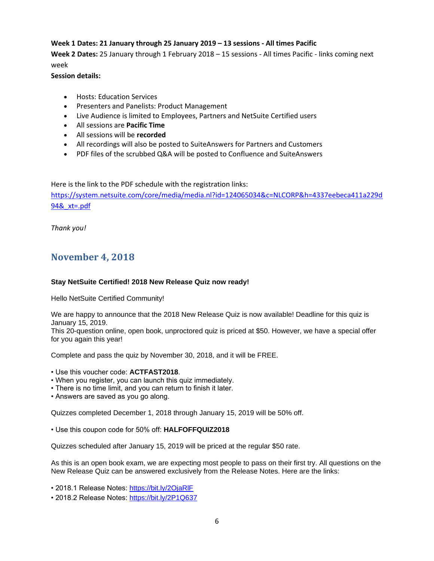#### **Week 1 Dates: 21 January through 25 January 2019 – 13 sessions - All times Pacific**

**Week 2 Dates:** 25 January through 1 February 2018 – 15 sessions - All times Pacific - links coming next week

#### **Session details:**

- Hosts: Education Services
- Presenters and Panelists: Product Management
- Live Audience is limited to Employees, Partners and NetSuite Certified users
- All sessions are **Pacific Time**
- All sessions will be **recorded**
- All recordings will also be posted to SuiteAnswers for Partners and Customers
- PDF files of the scrubbed Q&A will be posted to Confluence and SuiteAnswers

Here is the link to the PDF schedule with the registration links:

[https://system.netsuite.com/core/media/media.nl?id=124065034&c=NLCORP&h=4337eebeca411a229d](https://system.netsuite.com/core/media/media.nl?id=124065034&c=NLCORP&h=4337eebeca411a229d94&_xt=.pdf) [94&\\_xt=.pdf](https://system.netsuite.com/core/media/media.nl?id=124065034&c=NLCORP&h=4337eebeca411a229d94&_xt=.pdf)

*Thank you!*

# **November 4, 2018**

#### **Stay NetSuite Certified! 2018 New Release Quiz now ready!**

Hello NetSuite Certified Community!

We are happy to announce that the 2018 New Release Quiz is now available! Deadline for this quiz is January 15, 2019.

This 20-question online, open book, unproctored quiz is priced at \$50. However, we have a special offer for you again this year!

Complete and pass the quiz by November 30, 2018, and it will be FREE.

• Use this voucher code: **ACTFAST2018**.

- When you register, you can launch this quiz immediately.
- There is no time limit, and you can return to finish it later.
- Answers are saved as you go along.

Quizzes completed December 1, 2018 through January 15, 2019 will be 50% off.

• Use this coupon code for 50% off: **HALFOFFQUIZ2018**

Quizzes scheduled after January 15, 2019 will be priced at the regular \$50 rate.

As this is an open book exam, we are expecting most people to pass on their first try. All questions on the New Release Quiz can be answered exclusively from the Release Notes. Here are the links:

• 2018.1 Release Notes: [https://bit.ly/2OjaRlF](https://eur02.safelinks.protection.outlook.com/?url=https%3A%2F%2Fbit.ly%2F2OjaRlF&data=02%7C01%7C%7C2f87263ebfe146de3cbb08d65729bd61%7C84df9e7fe9f640afb435aaaaaaaaaaaa%7C1%7C0%7C636792234115471224&sdata=vNqm03tXB%2Fo8T0YdMhINM1rlbOl5859bJfWPbfPi5jg%3D&reserved=0)

• 2018.2 Release Notes: [https://bit.ly/2P1Q637](https://eur02.safelinks.protection.outlook.com/?url=https%3A%2F%2Fbit.ly%2F2P1Q637&data=02%7C01%7C%7C2f87263ebfe146de3cbb08d65729bd61%7C84df9e7fe9f640afb435aaaaaaaaaaaa%7C1%7C0%7C636792234115471224&sdata=QkA2STB%2BVkKk0aBdRM4fhHYoL0Zsc46%2B9krXyisDDqg%3D&reserved=0)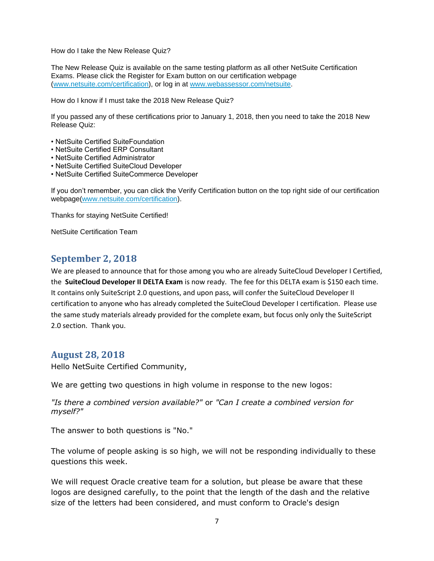How do I take the New Release Quiz?

The New Release Quiz is available on the same testing platform as all other NetSuite Certification Exams. Please click the Register for Exam button on our certification webpage [\(www.netsuite.com/certification\)](https://eur02.safelinks.protection.outlook.com/?url=https%3A%2F%2Fwww.linkedin.com%2Fredir%2Fredirect%3Furl%3Dwww%252Enetsuite%252Ecom%252Fcertification%26urlhash%3DaBLi%26_t%3Dtracking_anet&data=02%7C01%7C%7C2f87263ebfe146de3cbb08d65729bd61%7C84df9e7fe9f640afb435aaaaaaaaaaaa%7C1%7C0%7C636792234115627469&sdata=5GoH5cu8owwAduh5Mh3gzxB4K7hJHL0kRrqhTqvtbI4%3D&reserved=0), or log in at [www.webassessor.com/netsuite.](https://eur02.safelinks.protection.outlook.com/?url=https%3A%2F%2Fwww.linkedin.com%2Fredir%2Fredirect%3Furl%3Dwww%252Ewebassessor%252Ecom%252Fnetsuite%26urlhash%3DsTDo%26_t%3Dtracking_anet&data=02%7C01%7C%7C2f87263ebfe146de3cbb08d65729bd61%7C84df9e7fe9f640afb435aaaaaaaaaaaa%7C1%7C0%7C636792234115627469&sdata=C%2B2E73kRtZR753f1g3WB5h%2BiVSAuRrtg7VsUDg0QbKA%3D&reserved=0)

How do I know if I must take the 2018 New Release Quiz?

If you passed any of these certifications prior to January 1, 2018, then you need to take the 2018 New Release Quiz:

- NetSuite Certified SuiteFoundation
- NetSuite Certified ERP Consultant
- NetSuite Certified Administrator
- NetSuite Certified SuiteCloud Developer
- NetSuite Certified SuiteCommerce Developer

If you don't remember, you can click the Verify Certification button on the top right side of our certification webpage[\(www.netsuite.com/certification\)](https://eur02.safelinks.protection.outlook.com/?url=https%3A%2F%2Fwww.linkedin.com%2Fredir%2Fredirect%3Furl%3Dwww%252Enetsuite%252Ecom%252Fcertification%26urlhash%3DaBLi%26_t%3Dtracking_anet&data=02%7C01%7C%7C2f87263ebfe146de3cbb08d65729bd61%7C84df9e7fe9f640afb435aaaaaaaaaaaa%7C1%7C0%7C636792234115627469&sdata=5GoH5cu8owwAduh5Mh3gzxB4K7hJHL0kRrqhTqvtbI4%3D&reserved=0).

Thanks for staying NetSuite Certified!

NetSuite Certification Team

# **September 2, 2018**

We are pleased to announce that for those among you who are already SuiteCloud Developer I Certified, the **SuiteCloud Developer II DELTA Exam** is now ready. The fee for this DELTA exam is \$150 each time. It contains only SuiteScript 2.0 questions, and upon pass, will confer the SuiteCloud Developer II certification to anyone who has already completed the SuiteCloud Developer I certification. Please use the same study materials already provided for the complete exam, but focus only only the SuiteScript 2.0 section. Thank you.

### **August 28, 2018**

Hello NetSuite Certified Community,

We are getting two questions in high volume in response to the new logos:

*"Is there a combined version available?"* or *"Can I create a combined version for myself?"*

The answer to both questions is "No."

The volume of people asking is so high, we will not be responding individually to these questions this week.

We will request Oracle creative team for a solution, but please be aware that these logos are designed carefully, to the point that the length of the dash and the relative size of the letters had been considered, and must conform to Oracle's design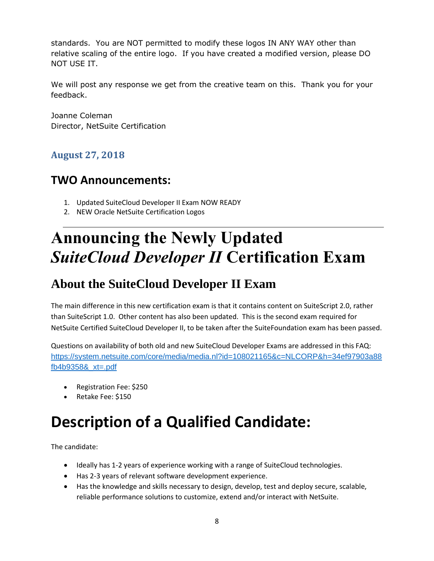standards. You are NOT permitted to modify these logos IN ANY WAY other than relative scaling of the entire logo. If you have created a modified version, please DO NOT USE IT.

We will post any response we get from the creative team on this. Thank you for your feedback.

Joanne Coleman Director, NetSuite Certification

# **August 27, 2018**

# **TWO Announcements:**

- 1. Updated SuiteCloud Developer II Exam NOW READY
- 2. NEW Oracle NetSuite Certification Logos

# **Announcing the Newly Updated** *SuiteCloud Developer II* **Certification Exam**

# **About the SuiteCloud Developer II Exam**

The main difference in this new certification exam is that it contains content on SuiteScript 2.0, rather than SuiteScript 1.0. Other content has also been updated. This is the second exam required for NetSuite Certified SuiteCloud Developer II, to be taken after the SuiteFoundation exam has been passed.

Questions on availability of both old and new SuiteCloud Developer Exams are addressed in this FAQ: [https://system.netsuite.com/core/media/media.nl?id=108021165&c=NLCORP&h=34ef97903a88](https://system.netsuite.com/core/media/media.nl?id=108021165&c=NLCORP&h=34ef97903a88fb4b9358&_xt=.pdf) [fb4b9358&\\_xt=.pdf](https://system.netsuite.com/core/media/media.nl?id=108021165&c=NLCORP&h=34ef97903a88fb4b9358&_xt=.pdf)

- Registration Fee: \$250
- Retake Fee: \$150

# **Description of a Qualified Candidate:**

The candidate:

- Ideally has 1-2 years of experience working with a range of SuiteCloud technologies.
- Has 2-3 years of relevant software development experience.
- Has the knowledge and skills necessary to design, develop, test and deploy secure, scalable, reliable performance solutions to customize, extend and/or interact with NetSuite.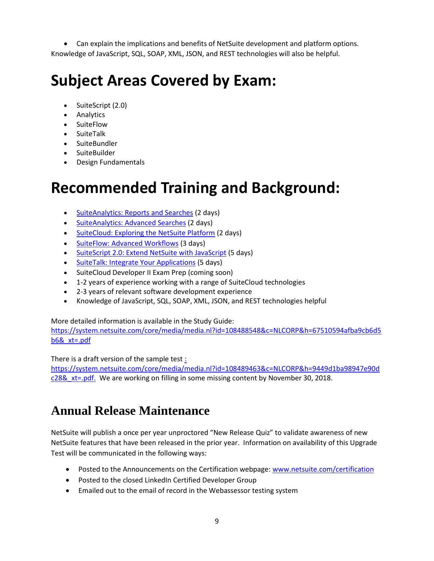• Can explain the implications and benefits of NetSuite development and platform options. Knowledge of JavaScript, SQL, SOAP, XML, JSON, and REST technologies will also be helpful.

# **Subject Areas Covered by Exam:**

- SuiteScript (2.0)
- Analytics
- SuiteFlow
- SuiteTalk
- SuiteBundler
- SuiteBuilder
- Design Fundamentals

# **Recommended Training and Background:**

- [SuiteAnalytics: Reports and Searches](http://www.netsuite.com/portal/services/training/description-suite-analytics-reports-and-searches.shtml) (2 days)
- [SuiteAnalytics: Advanced Searches](http://www.netsuite.com/portal/services/training/description-suite-analytics-advanced-searches.shtml) (2 days)
- [SuiteCloud: Exploring the NetSuite Platform](http://www.netsuite.com/portal/services/training/description-suitecloud-exploring-the-netsuite-platform.shtml) (2 days)
- [SuiteFlow: Advanced Workflows](http://www.netsuite.com/portal/services/training/suite-training/description-suiteflow-advanced-workflows.shtml) (3 days)
- [SuiteScript 2.0: Extend NetSuite with JavaScript](http://www.netsuite.com/portal/services/training/suite-training/description-suitescript-2.shtml) (5 days)
- [SuiteTalk: Integrate Your Applications](http://www.netsuite.com/portal/services/training/description-suitetalk.shtml) (5 days)
- SuiteCloud Developer II Exam Prep (coming soon)
- 1-2 years of experience working with a range of SuiteCloud technologies
- 2-3 years of relevant software development experience
- Knowledge of JavaScript, SQL, SOAP, XML, JSON, and REST technologies helpful

More detailed information is available in the Study Guide:

https://system.netsuite.com/core/media/media.nl?id=108488548&c=NLCORP&h=67510594afba9cb6d5 b6&\_xt=.pdf

There is a draft version of the sample test [:](file:///C:/Users/joacolem/Documents/Documents%20ALL/CERTIFICATION/COMMUNICATION/Announcements/2018/%20https/system.netsuite.com/core/media/media.nl%3fid=108489463&c=NLCORP&h=9449d1ba98947e90dc28&_xt=.pdf) 

[https://system.netsuite.com/core/media/media.nl?id=108489463&c=NLCORP&h=9449d1ba98947e90d](file:///C:/Users/joacolem/Documents/Documents%20ALL/CERTIFICATION/COMMUNICATION/Announcements/2018/%20https/system.netsuite.com/core/media/media.nl%3fid=108489463&c=NLCORP&h=9449d1ba98947e90dc28&_xt=.pdf)  $c288$  xt=.pdf. We are working on filling in some missing content by November 30, 2018.

# **Annual Release Maintenance**

NetSuite will publish a once per year unproctored "New Release Quiz" to validate awareness of new NetSuite features that have been released in the prior year. Information on availability of this Upgrade Test will be communicated in the following ways:

- Posted to the Announcements on the Certification webpage: [www.netsuite.com/certification](http://www.netsuite.com/certification)
- Posted to the closed LinkedIn Certified Developer Group
- Emailed out to the email of record in the Webassessor testing system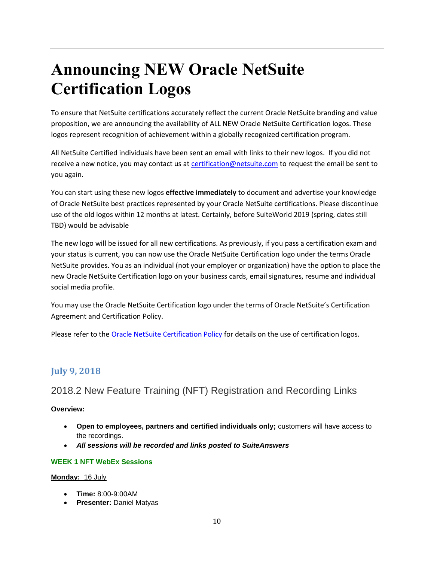# **Announcing NEW Oracle NetSuite Certification Logos**

To ensure that NetSuite certifications accurately reflect the current Oracle NetSuite branding and value proposition, we are announcing the availability of ALL NEW Oracle NetSuite Certification logos. These logos represent recognition of achievement within a globally recognized certification program.

All NetSuite Certified individuals have been sent an email with links to their new logos. If you did not receive a new notice, you may contact us at [certification@netsuite.com](mailto:certification@netsuite.com) to request the email be sent to you again.

You can start using these new logos **effective immediately** to document and advertise your knowledge of Oracle NetSuite best practices represented by your Oracle NetSuite certifications. Please discontinue use of the old logos within 12 months at latest. Certainly, before SuiteWorld 2019 (spring, dates still TBD) would be advisable

The new logo will be issued for all new certifications. As previously, if you pass a certification exam and your status is current, you can now use the Oracle NetSuite Certification logo under the terms Oracle NetSuite provides. You as an individual (not your employer or organization) have the option to place the new Oracle NetSuite Certification logo on your business cards, email signatures, resume and individual social media profile.

You may use the Oracle NetSuite Certification logo under the terms of Oracle NetSuite's Certification Agreement and Certification Policy.

Please refer to the [Oracle NetSuite Certification Policy](https://system.netsuite.com/core/media/media.nl?id=10263318&c=NLCORP&h=85a2c6855f4bceb543de&_xt=.pdf&vid=uMOfncRpAgBAoXI_&chrole=17&ck=u382M79pAiYbp0k3&cktime=158218&promocode=&promocodeaction=overwrite) for details on the use of certification logos.

# **July 9, 2018**

# 2018.2 New Feature Training (NFT) Registration and Recording Links

#### **Overview:**

- **Open to employees, partners and certified individuals only;** customers will have access to the recordings.
- *All sessions will be recorded and links posted to SuiteAnswers*

#### **WEEK 1 NFT WebEx Sessions**

#### **Monday:** 16 July

- **Time:** 8:00-9:00AM
- **Presenter:** Daniel Matyas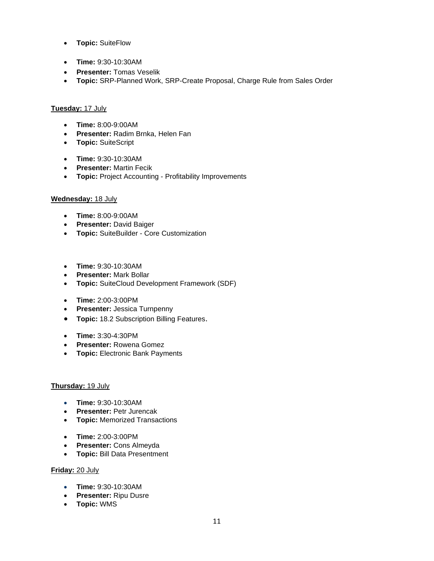- **Topic:** SuiteFlow
- **Time:** 9:30-10:30AM
- **Presenter:** Tomas Veselik
- **Topic:** SRP-Planned Work, SRP-Create Proposal, Charge Rule from Sales Order

#### **Tuesday:** 17 July

- **Time:** 8:00-9:00AM
- **Presenter:** Radim Brnka, Helen Fan
- **Topic:** SuiteScript
- **Time:** 9:30-10:30AM
- **Presenter:** Martin Fecik
- **Topic:** Project Accounting Profitability Improvements

#### **Wednesday:** 18 July

- **Time:** 8:00-9:00AM
- **Presenter:** David Baiger
- **Topic:** SuiteBuilder Core Customization
- **Time:** 9:30-10:30AM
- **Presenter:** Mark Bollar
- **Topic:** SuiteCloud Development Framework (SDF)
- **Time:** 2:00-3:00PM
- **Presenter:** Jessica Turnpenny
- **Topic:** 18.2 Subscription Billing Features.
- **Time:** 3:30-4:30PM
- **Presenter:** Rowena Gomez
- **Topic:** Electronic Bank Payments

#### **Thursday:** 19 July

- **Time:** 9:30-10:30AM
- **Presenter:** Petr Jurencak
- **Topic:** Memorized Transactions
- **Time:** 2:00-3:00PM
- **Presenter:** Cons Almeyda
- **Topic:** Bill Data Presentment

#### **Friday:** 20 July

- **Time:** 9:30-10:30AM
- **Presenter:** Ripu Dusre
- **Topic:** WMS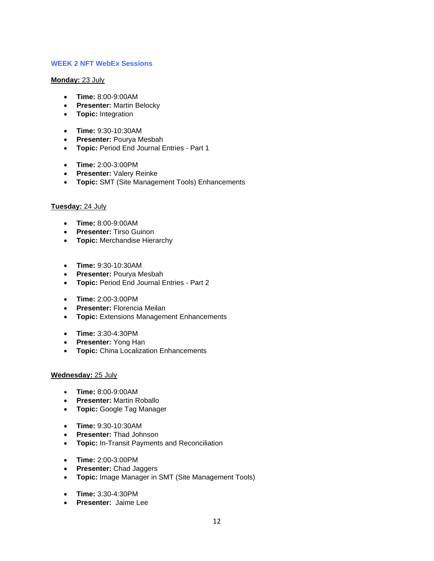#### **WEEK 2 NFT WebEx Sessions**

#### **Monday:** 23 July

- **Time:** 8:00-9:00AM
- **Presenter:** Martin Belocky
- **Topic:** Integration
- **Time:** 9:30-10:30AM
- **Presenter:** Pourya Mesbah
- **Topic:** Period End Journal Entries Part 1
- **Time:** 2:00-3:00PM
- **Presenter:** Valery Reinke
- **Topic:** SMT (Site Management Tools) Enhancements

#### **Tuesday:** 24 July

- **Time:** 8:00-9:00AM
- **Presenter:** Tirso Guinon
- **Topic:** Merchandise Hierarchy
- **Time:** 9:30-10:30AM
- **Presenter:** Pourya Mesbah
- **Topic:** Period End Journal Entries Part 2
- **Time:** 2:00-3:00PM
- **Presenter:** Florencia Meilan
- **Topic:** Extensions Management Enhancements
- **Time:** 3:30-4:30PM
- **Presenter:** Yong Han
- **Topic:** China Localization Enhancements

#### **Wednesday:** 25 July

- **Time:** 8:00-9:00AM
- **Presenter:** Martin Roballo
- **Topic:** Google Tag Manager
- **Time:** 9:30-10:30AM
- **Presenter:** Thad Johnson
- **Topic:** In-Transit Payments and Reconciliation
- **Time:** 2:00-3:00PM
- **Presenter:** Chad Jaggers
- **Topic:** Image Manager in SMT (Site Management Tools)
- **Time:** 3:30-4:30PM
- **Presenter:** Jaime Lee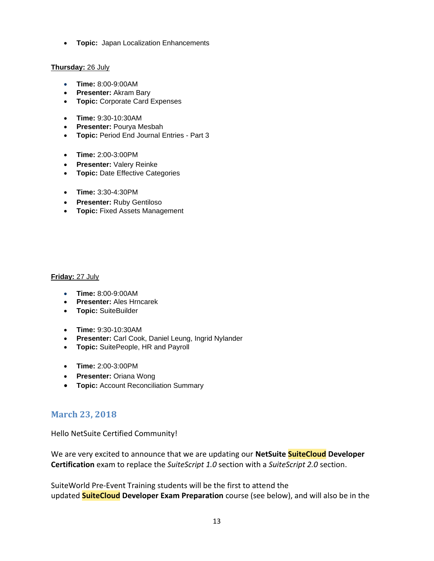• **Topic:** Japan Localization Enhancements

#### **Thursday:** 26 July

- **Time:** 8:00-9:00AM
- **Presenter:** Akram Bary
- **Topic:** Corporate Card Expenses
- **Time:** 9:30-10:30AM
- **Presenter:** Pourya Mesbah
- **Topic:** Period End Journal Entries Part 3
- **Time:** 2:00-3:00PM
- **Presenter:** Valery Reinke
- **Topic:** Date Effective Categories
- **Time:** 3:30-4:30PM
- **Presenter:** Ruby Gentiloso
- **Topic:** Fixed Assets Management

#### **Friday:** 27 July

- **Time:** 8:00-9:00AM
- **Presenter:** Ales Hrncarek
- **Topic:** SuiteBuilder
- **Time:** 9:30-10:30AM
- **Presenter:** Carl Cook, Daniel Leung, Ingrid Nylander
- **Topic:** SuitePeople, HR and Payroll
- **Time:** 2:00-3:00PM
- **Presenter:** Oriana Wong
- **Topic:** Account Reconciliation Summary

### **March 23, 2018**

Hello NetSuite Certified Community!

We are very excited to announce that we are updating our **NetSuite SuiteCloud Developer Certification** exam to replace the *SuiteScript 1.0* section with a *SuiteScript 2.0* section.

SuiteWorld Pre-Event Training students will be the first to attend the updated **SuiteCloud Developer Exam Preparation** course (see below), and will also be in the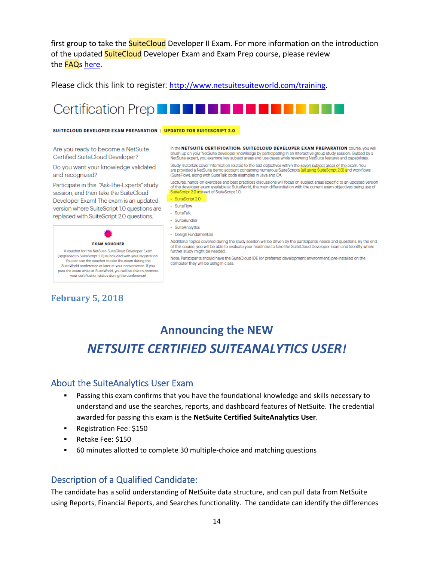first group to take the **SuiteCloud** Developer II Exam. For more information on the introduction of the updated **SuiteCloud** Developer Exam and Exam Prep course, please review the **FAQs** [here.](http://nsvirtualurl.com/core/media/media.nl?id=97865526&c=NLCORP&h=2ce3ca14a5c3f3521ff6&_xt=.pdf&_od=aHR0cHM6Ly9zeXN0ZW0ubmV0c3VpdGUuY29t)

Please click this link to register: <http://www.netsuitesuiteworld.com/training>.

# **Certification Prep**

#### SUITECLOUD DEVELOPER EXAM PREPARATION | UPDATED FOR SUITESCRIPT 2.0

Are you ready to become a NetSuite Certified SuiteCloud Developer?

Do you want your knowledge validated and recognized?

Participate in this "Ask-The-Experts" study session, and then take the SuiteCloud Developer Exam! The exam is an updated version where SuiteScript 1.0 questions are replaced with SuiteScript 2.0 questions.



A voucher for the NetSuite SuiteCloud Developer Exam (upgraded to SuiteScript 2.0) is included with your registration. You can use the voucher to take the exam during the SuiteWorld conference or later at your convenience. If you pass the exam while at SuiteWorld, you will be able to promote your certification status during the conference!

# **February 5, 2018**

In the NETSUITE CERTIFICATION: SUITECLOUD DEVELOPER EXAM PREPARATION COURSe, YOU WIll brush up on your NetSuite developer knowledge by participating in an interactive group study session. Guided by a NetSuite expert, you examine key subject areas and use cases while reviewing NetSuite features and capabilities

Study materials cover information related to the test objectives within the seven subject areas of the exam. You are provided a NetSuite demo account containing numerous SuiteScripts (all using Sui ript 2.0) and workflows (SuiteFlow), along with SuiteTalk code examples in Java and C#.

Lectures, hands-on exercises and best practices discussions will focus on subject areas specific to an updated version of the developer exam available at SuiteWorld, the main differentiation with the current exam objectives being use of SuiteScript 2.0 Instead of SuiteScript 1.0:

 $\leftrightarrow$  SuiteScript 2.0

- · SuiteFlow · SuiteTalk
- 
- · SuiteBundler
- · SuiteAnalytics
- · Design Fundamentals

Additional topics covered during the study session will be driven by the participants' needs and questions. By the end of this course, you will be able to evaluate your readiness to take the SuiteCloud Developer Exam and identify where further study might be needed.

Note: Participants should have the SuiteCloud IDE (or preferred development environment) pre-installed on the computer they will be using in class

# **Announcing the NEW**  *NETSUITE CERTIFIED SUITEANALYTICS USER!*

### About the SuiteAnalytics User Exam

- Passing this exam confirms that you have the foundational knowledge and skills necessary to understand and use the searches, reports, and dashboard features of NetSuite. The credential awarded for passing this exam is the **NetSuite Certified SuiteAnalytics User**.
- Registration Fee: \$150
- Retake Fee: \$150
- 60 minutes allotted to complete 30 multiple-choice and matching questions

### Description of a Qualified Candidate:

The candidate has a solid understanding of NetSuite data structure, and can pull data from NetSuite using Reports, Financial Reports, and Searches functionality. The candidate can identify the differences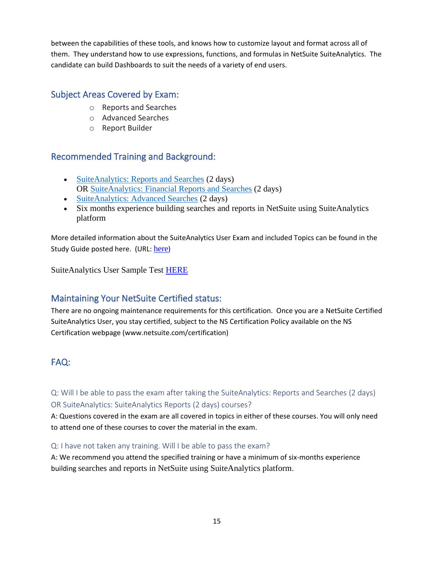between the capabilities of these tools, and knows how to customize layout and format across all of them. They understand how to use expressions, functions, and formulas in NetSuite SuiteAnalytics. The candidate can build Dashboards to suit the needs of a variety of end users.

# Subject Areas Covered by Exam:

- o Reports and Searches
- o Advanced Searches
- o Report Builder

# Recommended Training and Background:

- [SuiteAnalytics: Reports and Searches](http://www.netsuite.com/portal/services/training/description-suite-analytics-reports-and-searches.shtml) (2 days) OR [SuiteAnalytics: Financial Reports](http://www.netsuite.com/portal/services/training/description-suite-analytics-financial-report.shtml) and Searches (2 days)
- [SuiteAnalytics: Advanced Searches](http://www.netsuite.com/portal/services/training/description-suite-analytics-advanced-searches.shtml) (2 days)
- Six months experience building searches and reports in NetSuite using SuiteAnalytics platform

More detailed information about the SuiteAnalytics User Exam and included Topics can be found in the Study Guide posted [here](https://system.netsuite.com/core/media/media.nl?id=91302483&c=NLCORP&h=2e19a12729b0898c9265&_xt=.pdf). (URL: here)

SuiteAnalytics User Sample Test [HERE](https://system.netsuite.com/core/media/media.nl?id=94028159&c=NLCORP&h=4f103bd12cc1f2b61c41&_xt=.pdf)

# Maintaining Your NetSuite Certified status:

There are no ongoing maintenance requirements for this certification. Once you are a NetSuite Certified SuiteAnalytics User, you stay certified, subject to the NS Certification Policy available on the NS Certification webpage (www.netsuite.com/certification)

# FAQ:

Q: Will I be able to pass the exam after taking the [SuiteAnalytics: Reports and Searches](http://www.netsuite.com/portal/services/training/description-suite-analytics-reports-and-searches.shtml) (2 days) OR [SuiteAnalytics: SuiteAnalytics Reports](http://www.netsuite.com/portal/services/training/description-suite-analytics-financial-report.shtml) (2 days) courses?

A: Questions covered in the exam are all covered in topics in either of these courses. You will only need to attend one of these courses to cover the material in the exam.

#### Q: I have not taken any training. Will I be able to pass the exam?

A: We recommend you attend the specified training or have a minimum of six-months experience building searches and reports in NetSuite using SuiteAnalytics platform.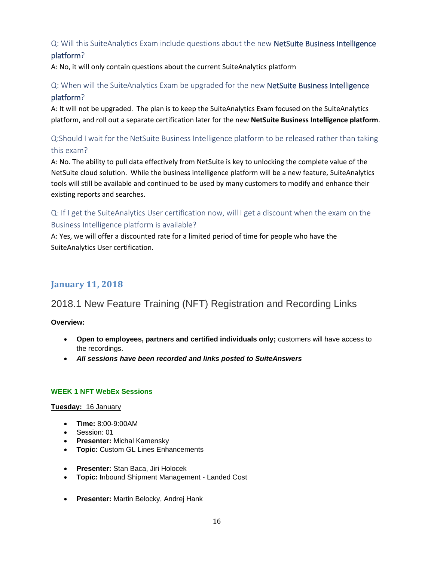## Q: Will this SuiteAnalytics Exam include questions about the new NetSuite Business Intelligence platform?

A: No, it will only contain questions about the current SuiteAnalytics platform

## Q: When will the SuiteAnalytics Exam be upgraded for the new NetSuite Business Intelligence platform?

A: It will not be upgraded. The plan is to keep the SuiteAnalytics Exam focused on the SuiteAnalytics platform, and roll out a separate certification later for the new **NetSuite Business Intelligence platform**.

# Q:Should I wait for the NetSuite Business Intelligence platform to be released rather than taking this exam?

A: No. The ability to pull data effectively from NetSuite is key to unlocking the complete value of the NetSuite cloud solution. While the business intelligence platform will be a new feature, SuiteAnalytics tools will still be available and continued to be used by many customers to modify and enhance their existing reports and searches.

# Q: If I get the SuiteAnalytics User certification now, will I get a discount when the exam on the Business Intelligence platform is available?

A: Yes, we will offer a discounted rate for a limited period of time for people who have the SuiteAnalytics User certification.

# **January 11, 2018**

# 2018.1 New Feature Training (NFT) Registration and Recording Links

#### **Overview:**

- **Open to employees, partners and certified individuals only;** customers will have access to the recordings.
- *All sessions have been recorded and links posted to SuiteAnswers*

#### **WEEK 1 NFT WebEx Sessions**

#### **Tuesday:** 16 January

- **Time:** 8:00-9:00AM
- Session: 01
- **Presenter:** Michal Kamensky
- **Topic:** Custom GL Lines Enhancements
- **Presenter:** Stan Baca, Jiri Holocek
- **Topic: I**nbound Shipment Management Landed Cost
- **Presenter:** Martin Belocky, Andrej Hank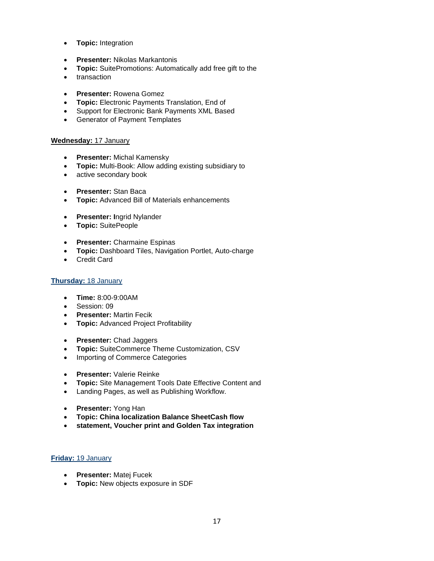- **Topic:** Integration
- **Presenter:** Nikolas Markantonis
- **Topic:** SuitePromotions: Automatically add free gift to the
- transaction
- **Presenter:** Rowena Gomez
- **Topic:** Electronic Payments Translation, End of
- Support for Electronic Bank Payments XML Based
- Generator of Payment Templates

#### **Wednesday:** 17 January

- **Presenter:** Michal Kamensky
- **Topic:** Multi-Book: Allow adding existing subsidiary to
- active secondary book
- **Presenter:** Stan Baca
- **Topic:** Advanced Bill of Materials enhancements
- **Presenter: I**ngrid Nylander
- **Topic:** SuitePeople
- **Presenter:** Charmaine Espinas
- **Topic:** Dashboard Tiles, Navigation Portlet, Auto-charge
- Credit Card

#### **Thursday:** 18 January

- **Time:** 8:00-9:00AM
- Session: 09
- **Presenter:** Martin Fecik
- **Topic:** Advanced Project Profitability
- **Presenter:** Chad Jaggers
- **Topic:** SuiteCommerce Theme Customization, CSV
- Importing of Commerce Categories
- **Presenter:** Valerie Reinke
- **Topic:** Site Management Tools Date Effective Content and
- Landing Pages, as well as Publishing Workflow.
- **Presenter:** Yong Han
- **Topic: China localization Balance SheetCash flow**
- **statement, Voucher print and Golden Tax integration**

#### **Friday:** 19 January

- **Presenter:** Matej Fucek
- **Topic:** New objects exposure in SDF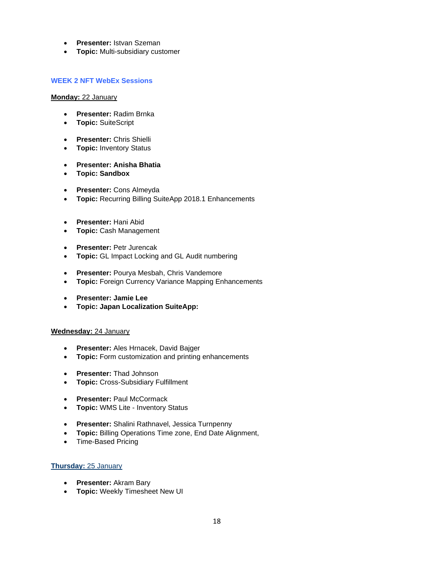- **Presenter:** Istvan Szeman
- **Topic:** Multi-subsidiary customer

#### **WEEK 2 NFT WebEx Sessions**

#### **Monday:** 22 January

- **Presenter:** Radim Brnka
- **Topic:** SuiteScript
- **Presenter:** Chris Shielli
- **Topic:** Inventory Status
- **Presenter: Anisha Bhatia**
- **Topic: Sandbox**
- **Presenter:** Cons Almeyda
- **Topic:** Recurring Billing SuiteApp 2018.1 Enhancements
- **Presenter:** Hani Abid
- **Topic:** Cash Management
- **Presenter:** Petr Jurencak
- **Topic:** GL Impact Locking and GL Audit numbering
- **Presenter:** Pourya Mesbah, Chris Vandemore
- **Topic:** Foreign Currency Variance Mapping Enhancements
- **Presenter: Jamie Lee**
- **Topic: Japan Localization SuiteApp:**

#### **Wednesday:** 24 January

- **Presenter:** Ales Hrnacek, David Bajger
- **Topic:** Form customization and printing enhancements
- **Presenter:** Thad Johnson
- **Topic:** Cross-Subsidiary Fulfillment
- **Presenter:** Paul McCormack
- **Topic:** WMS Lite Inventory Status
- **Presenter:** Shalini Rathnavel, Jessica Turnpenny
- **Topic:** Billing Operations Time zone, End Date Alignment,
- Time-Based Pricing

#### **Thursday:** 25 January

- **Presenter:** Akram Bary
- **Topic:** Weekly Timesheet New UI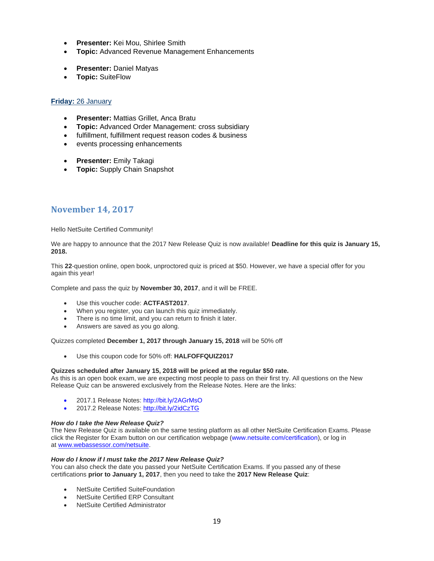- **Presenter:** Kei Mou, Shirlee Smith
- **Topic:** Advanced Revenue Management Enhancements
- **Presenter:** Daniel Matyas
- **Topic:** SuiteFlow

#### **Friday:** 26 January

- **Presenter:** Mattias Grillet, Anca Bratu
- **Topic:** Advanced Order Management: cross subsidiary
- fulfillment, fulfillment request reason codes & business
- events processing enhancements
- **Presenter:** Emily Takagi
- **Topic:** Supply Chain Snapshot

#### **November 14, 2017**

Hello NetSuite Certified Community!

We are happy to announce that the 2017 New Release Quiz is now available! **Deadline for this quiz is January 15, 2018.**

This **22**-question online, open book, unproctored quiz is priced at \$50. However, we have a special offer for you again this year!

Complete and pass the quiz by **November 30, 2017**, and it will be FREE.

- Use this voucher code: **ACTFAST2017**.
- When you register, you can launch this quiz immediately.
- There is no time limit, and you can return to finish it later.
- Answers are saved as you go along.

Quizzes completed **December 1, 2017 through January 15, 2018** will be 50% off

• Use this coupon code for 50% off: **HALFOFFQUIZ2017**

#### **Quizzes scheduled after January 15, 2018 will be priced at the regular \$50 rate.**

As this is an open book exam, we are expecting most people to pass on their first try. All questions on the New Release Quiz can be answered exclusively from the Release Notes. Here are the links:

- 2017.1 Release Notes: http://bit.ly/2AGrMsO
- 2017.2 Release Notes:<http://bit.ly/2idCzTG>

#### *How do I take the New Release Quiz?*

The New Release Quiz is available on the same testing platform as all other NetSuite Certification Exams. Please click the Register for Exam button on our certification webpage (www.netsuite.com/certification), or log in at [www.webassessor.com/netsuite.](http://www.webassessor.com/netsuite)

#### *How do I know if I must take the 2017 New Release Quiz?*

You can also check the date you passed your NetSuite Certification Exams. If you passed any of these certifications **prior to January 1, 2017**, then you need to take the **2017 New Release Quiz**:

- NetSuite Certified SuiteFoundation
- NetSuite Certified ERP Consultant
- NetSuite Certified Administrator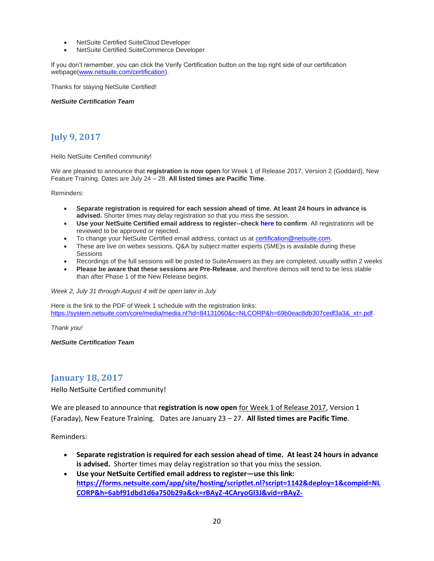- NetSuite Certified SuiteCloud Developer
- NetSuite Certified SuiteCommerce Developer

If you don't remember, you can click the Verify Certification button on the top right side of our certification webpage[\(www.netsuite.com/certification\)](http://www.netsuite.com/certification).

Thanks for staying NetSuite Certified!

*NetSuite Certification Team*

# **July 9, 2017**

Hello NetSuite Certified community!

We are pleased to announce that **registration is now open** for Week 1 of Release 2017, Version 2 (Goddard), New Feature Training. Dates are July 24 – 28. **All listed times are Pacific Time**.

Reminders:

- **Separate registration is required for each session ahead of time. At least 24 hours in advance is advised.** Shorter times may delay registration so that you miss the session.
- **Use your NetSuite Certified email address to register--check here to confirm**. All registrations will be reviewed to be approved or rejected.
- To change your NetSuite Certified email address, contact us a[t certification@netsuite.com.](mailto:certification@netsuite.com)
- These are live on webex sessions. Q&A by subject matter experts (SME)s is available during these Sessions
- Recordings of the full sessions will be posted to SuiteAnswers as they are completed, usually within 2 weeks
- **Please be aware that these sessions are Pre-Release**, and therefore demos will tend to be less stable than after Phase 1 of the New Release begins.

*Week 2, July 31 through August 4 will be open later in July*

Here is the link to the PDF of Week 1 schedule with the registration links: [https://system.netsuite.com/core/media/media.nl?id=84131060&c=NLCORP&h=69b0eac8db307cedf3a3&\\_xt=.pdf.](https://system.netsuite.com/core/media/media.nl?id=84131060&c=NLCORP&h=69b0eac8db307cedf3a3&_xt=.pdf)

*Thank you!*

*NetSuite Certification Team*

### **January 18, 2017**

Hello NetSuite Certified community!

We are pleased to announce that **registration is now open** for Week 1 of Release 2017, Version 1 (Faraday), New Feature Training. Dates are January 23 – 27. **All listed times are Pacific Time**.

Reminders:

- **Separate registration is required for each session ahead of time. At least 24 hours in advance is advised.** Shorter times may delay registration so that you miss the session.
- **Use your NetSuite Certified email address to register—use this link: [https://forms.netsuite.com/app/site/hosting/scriptlet.nl?script=1142&deploy=1&compid=NL](https://forms.netsuite.com/app/site/hosting/scriptlet.nl?script=1142&deploy=1&compid=NLCORP&h=6abf91dbd1d6a750b29a&ck=rBAyZ-4CAryoGl3J&vid=rBAyZ-4CAsSoGj7J&cktime=140559) [CORP&h=6abf91dbd1d6a750b29a&ck=rBAyZ-4CAryoGl3J&vid=rBAyZ-](https://forms.netsuite.com/app/site/hosting/scriptlet.nl?script=1142&deploy=1&compid=NLCORP&h=6abf91dbd1d6a750b29a&ck=rBAyZ-4CAryoGl3J&vid=rBAyZ-4CAsSoGj7J&cktime=140559)**